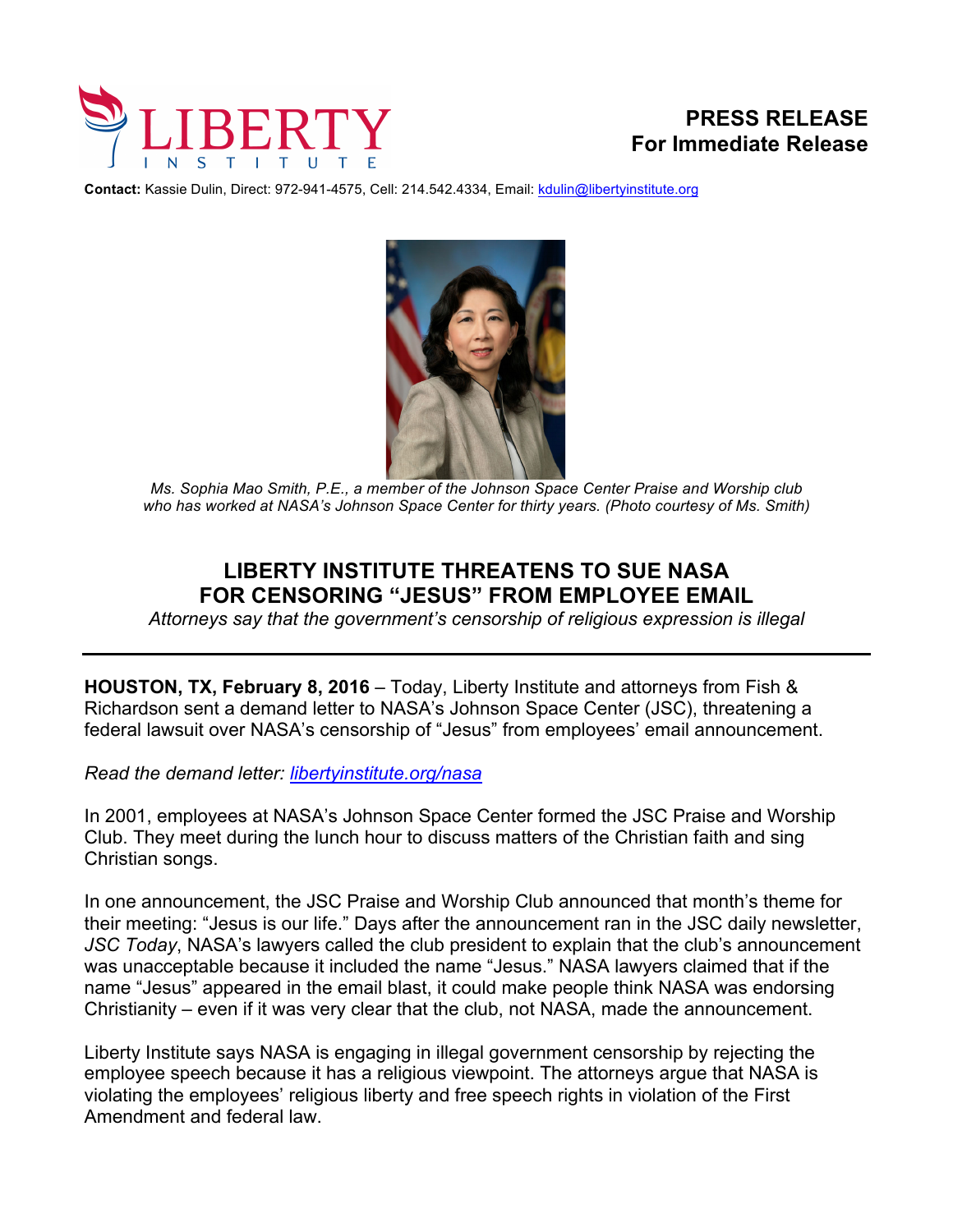

**Contact:** Kassie Dulin, Direct: 972-941-4575, Cell: 214.542.4334, Email: kdulin@libertyinstitute.org



*Ms. Sophia Mao Smith, P.E., a member of the Johnson Space Center Praise and Worship club who has worked at NASA's Johnson Space Center for thirty years. (Photo courtesy of Ms. Smith)* 

## **LIBERTY INSTITUTE THREATENS TO SUE NASA FOR CENSORING "JESUS" FROM EMPLOYEE EMAIL**

*Attorneys say that the government's censorship of religious expression is illegal*

**HOUSTON, TX, February 8, 2016** – Today, Liberty Institute and attorneys from Fish & Richardson sent a demand letter to NASA's Johnson Space Center (JSC), threatening a federal lawsuit over NASA's censorship of "Jesus" from employees' email announcement.

*Read the demand letter: libertyinstitute.org/nasa*

In 2001, employees at NASA's Johnson Space Center formed the JSC Praise and Worship Club. They meet during the lunch hour to discuss matters of the Christian faith and sing Christian songs.

In one announcement, the JSC Praise and Worship Club announced that month's theme for their meeting: "Jesus is our life." Days after the announcement ran in the JSC daily newsletter, *JSC Today*, NASA's lawyers called the club president to explain that the club's announcement was unacceptable because it included the name "Jesus." NASA lawyers claimed that if the name "Jesus" appeared in the email blast, it could make people think NASA was endorsing Christianity – even if it was very clear that the club, not NASA, made the announcement.

Liberty Institute says NASA is engaging in illegal government censorship by rejecting the employee speech because it has a religious viewpoint. The attorneys argue that NASA is violating the employees' religious liberty and free speech rights in violation of the First Amendment and federal law.